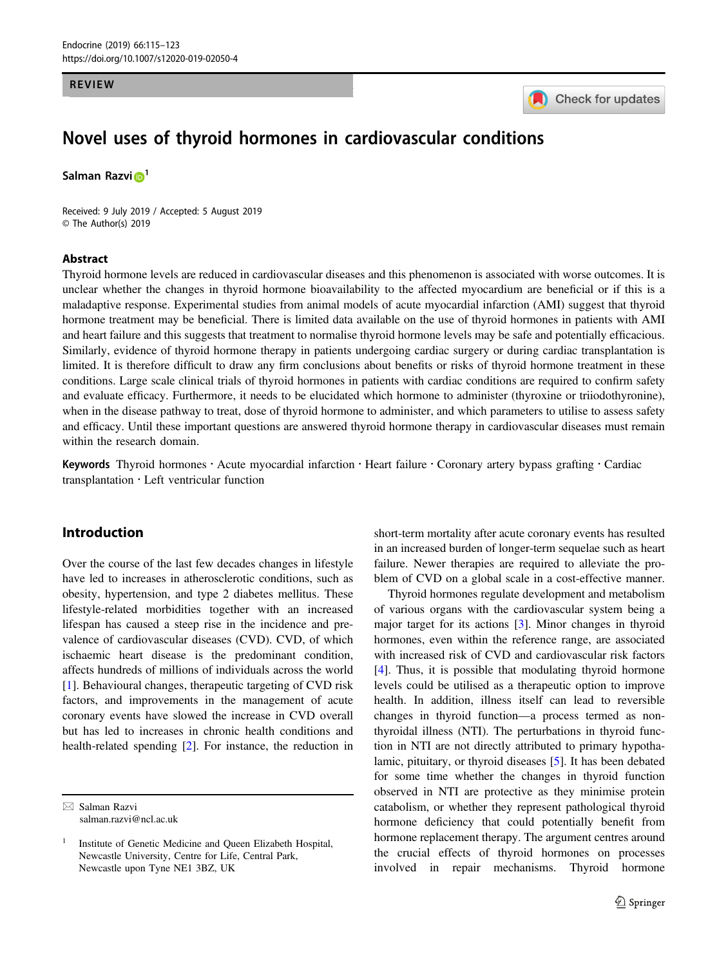#### REVIEW



# Novel uses of thyroid hormones in cardiovascular conditions

Salman Razvi<sup>o<sup>[1](http://orcid.org/0000-0002-9047-1556)</sup></sup>

Received: 9 July 2019 / Accepted: 5 August 2019 © The Author(s) 2019

#### Abstract

Thyroid hormone levels are reduced in cardiovascular diseases and this phenomenon is associated with worse outcomes. It is unclear whether the changes in thyroid hormone bioavailability to the affected myocardium are beneficial or if this is a maladaptive response. Experimental studies from animal models of acute myocardial infarction (AMI) suggest that thyroid hormone treatment may be beneficial. There is limited data available on the use of thyroid hormones in patients with AMI and heart failure and this suggests that treatment to normalise thyroid hormone levels may be safe and potentially efficacious. Similarly, evidence of thyroid hormone therapy in patients undergoing cardiac surgery or during cardiac transplantation is limited. It is therefore difficult to draw any firm conclusions about benefits or risks of thyroid hormone treatment in these conditions. Large scale clinical trials of thyroid hormones in patients with cardiac conditions are required to confirm safety and evaluate efficacy. Furthermore, it needs to be elucidated which hormone to administer (thyroxine or triiodothyronine), when in the disease pathway to treat, dose of thyroid hormone to administer, and which parameters to utilise to assess safety and efficacy. Until these important questions are answered thyroid hormone therapy in cardiovascular diseases must remain within the research domain.

Keywords Thyroid hormones · Acute myocardial infarction · Heart failure · Coronary artery bypass grafting · Cardiac  $transplantation \cdot Left$  ventricular function

### Introduction

Over the course of the last few decades changes in lifestyle have led to increases in atherosclerotic conditions, such as obesity, hypertension, and type 2 diabetes mellitus. These lifestyle-related morbidities together with an increased lifespan has caused a steep rise in the incidence and prevalence of cardiovascular diseases (CVD). CVD, of which ischaemic heart disease is the predominant condition, affects hundreds of millions of individuals across the world [\[1](#page-5-0)]. Behavioural changes, therapeutic targeting of CVD risk factors, and improvements in the management of acute coronary events have slowed the increase in CVD overall but has led to increases in chronic health conditions and health-related spending [\[2](#page-5-0)]. For instance, the reduction in

 $\boxtimes$  Salman Razvi [salman.razvi@ncl.ac.uk](mailto:salman.razvi@ncl.ac.uk) short-term mortality after acute coronary events has resulted in an increased burden of longer-term sequelae such as heart failure. Newer therapies are required to alleviate the problem of CVD on a global scale in a cost-effective manner.

Thyroid hormones regulate development and metabolism of various organs with the cardiovascular system being a major target for its actions [\[3](#page-5-0)]. Minor changes in thyroid hormones, even within the reference range, are associated with increased risk of CVD and cardiovascular risk factors [\[4](#page-6-0)]. Thus, it is possible that modulating thyroid hormone levels could be utilised as a therapeutic option to improve health. In addition, illness itself can lead to reversible changes in thyroid function—a process termed as nonthyroidal illness (NTI). The perturbations in thyroid function in NTI are not directly attributed to primary hypothalamic, pituitary, or thyroid diseases [\[5](#page-6-0)]. It has been debated for some time whether the changes in thyroid function observed in NTI are protective as they minimise protein catabolism, or whether they represent pathological thyroid hormone deficiency that could potentially benefit from hormone replacement therapy. The argument centres around the crucial effects of thyroid hormones on processes involved in repair mechanisms. Thyroid hormone

<sup>1</sup> Institute of Genetic Medicine and Queen Elizabeth Hospital, Newcastle University, Centre for Life, Central Park, Newcastle upon Tyne NE1 3BZ, UK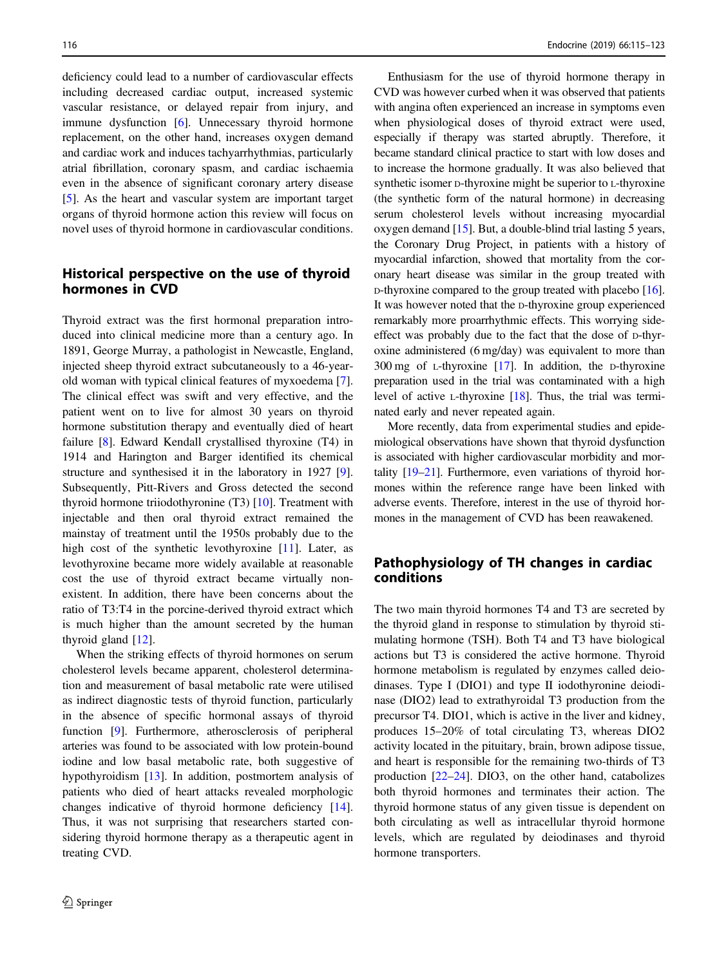deficiency could lead to a number of cardiovascular effects including decreased cardiac output, increased systemic vascular resistance, or delayed repair from injury, and immune dysfunction [[6\]](#page-6-0). Unnecessary thyroid hormone replacement, on the other hand, increases oxygen demand and cardiac work and induces tachyarrhythmias, particularly atrial fibrillation, coronary spasm, and cardiac ischaemia even in the absence of significant coronary artery disease [\[5](#page-6-0)]. As the heart and vascular system are important target organs of thyroid hormone action this review will focus on novel uses of thyroid hormone in cardiovascular conditions.

## Historical perspective on the use of thyroid hormones in CVD

Thyroid extract was the first hormonal preparation introduced into clinical medicine more than a century ago. In 1891, George Murray, a pathologist in Newcastle, England, injected sheep thyroid extract subcutaneously to a 46-yearold woman with typical clinical features of myxoedema [\[7](#page-6-0)]. The clinical effect was swift and very effective, and the patient went on to live for almost 30 years on thyroid hormone substitution therapy and eventually died of heart failure [[8\]](#page-6-0). Edward Kendall crystallised thyroxine (T4) in 1914 and Harington and Barger identified its chemical structure and synthesised it in the laboratory in 1927 [\[9](#page-6-0)]. Subsequently, Pitt-Rivers and Gross detected the second thyroid hormone triiodothyronine  $(T3)$  [\[10](#page-6-0)]. Treatment with injectable and then oral thyroid extract remained the mainstay of treatment until the 1950s probably due to the high cost of the synthetic levothyroxine [\[11](#page-6-0)]. Later, as levothyroxine became more widely available at reasonable cost the use of thyroid extract became virtually nonexistent. In addition, there have been concerns about the ratio of T3:T4 in the porcine-derived thyroid extract which is much higher than the amount secreted by the human thyroid gland [[12](#page-6-0)].

When the striking effects of thyroid hormones on serum cholesterol levels became apparent, cholesterol determination and measurement of basal metabolic rate were utilised as indirect diagnostic tests of thyroid function, particularly in the absence of specific hormonal assays of thyroid function [[9\]](#page-6-0). Furthermore, atherosclerosis of peripheral arteries was found to be associated with low protein-bound iodine and low basal metabolic rate, both suggestive of hypothyroidism [\[13](#page-6-0)]. In addition, postmortem analysis of patients who died of heart attacks revealed morphologic changes indicative of thyroid hormone deficiency [\[14](#page-6-0)]. Thus, it was not surprising that researchers started considering thyroid hormone therapy as a therapeutic agent in treating CVD.

Enthusiasm for the use of thyroid hormone therapy in CVD was however curbed when it was observed that patients with angina often experienced an increase in symptoms even when physiological doses of thyroid extract were used, especially if therapy was started abruptly. Therefore, it became standard clinical practice to start with low doses and to increase the hormone gradually. It was also believed that synthetic isomer D-thyroxine might be superior to L-thyroxine (the synthetic form of the natural hormone) in decreasing serum cholesterol levels without increasing myocardial oxygen demand [[15](#page-6-0)]. But, a double-blind trial lasting 5 years, the Coronary Drug Project, in patients with a history of myocardial infarction, showed that mortality from the coronary heart disease was similar in the group treated with D-thyroxine compared to the group treated with placebo [[16\]](#page-6-0). It was however noted that the D-thyroxine group experienced remarkably more proarrhythmic effects. This worrying sideeffect was probably due to the fact that the dose of D-thyroxine administered (6 mg/day) was equivalent to more than 300 mg of L-thyroxine [[17](#page-6-0)]. In addition, the D-thyroxine preparation used in the trial was contaminated with a high level of active L-thyroxine [\[18](#page-6-0)]. Thus, the trial was terminated early and never repeated again.

More recently, data from experimental studies and epidemiological observations have shown that thyroid dysfunction is associated with higher cardiovascular morbidity and mortality [[19](#page-6-0)–[21\]](#page-6-0). Furthermore, even variations of thyroid hormones within the reference range have been linked with adverse events. Therefore, interest in the use of thyroid hormones in the management of CVD has been reawakened.

### Pathophysiology of TH changes in cardiac conditions

The two main thyroid hormones T4 and T3 are secreted by the thyroid gland in response to stimulation by thyroid stimulating hormone (TSH). Both T4 and T3 have biological actions but T3 is considered the active hormone. Thyroid hormone metabolism is regulated by enzymes called deiodinases. Type I (DIO1) and type II iodothyronine deiodinase (DIO2) lead to extrathyroidal T3 production from the precursor T4. DIO1, which is active in the liver and kidney, produces 15–20% of total circulating T3, whereas DIO2 activity located in the pituitary, brain, brown adipose tissue, and heart is responsible for the remaining two-thirds of T3 production [\[22](#page-6-0)–[24](#page-6-0)]. DIO3, on the other hand, catabolizes both thyroid hormones and terminates their action. The thyroid hormone status of any given tissue is dependent on both circulating as well as intracellular thyroid hormone levels, which are regulated by deiodinases and thyroid hormone transporters.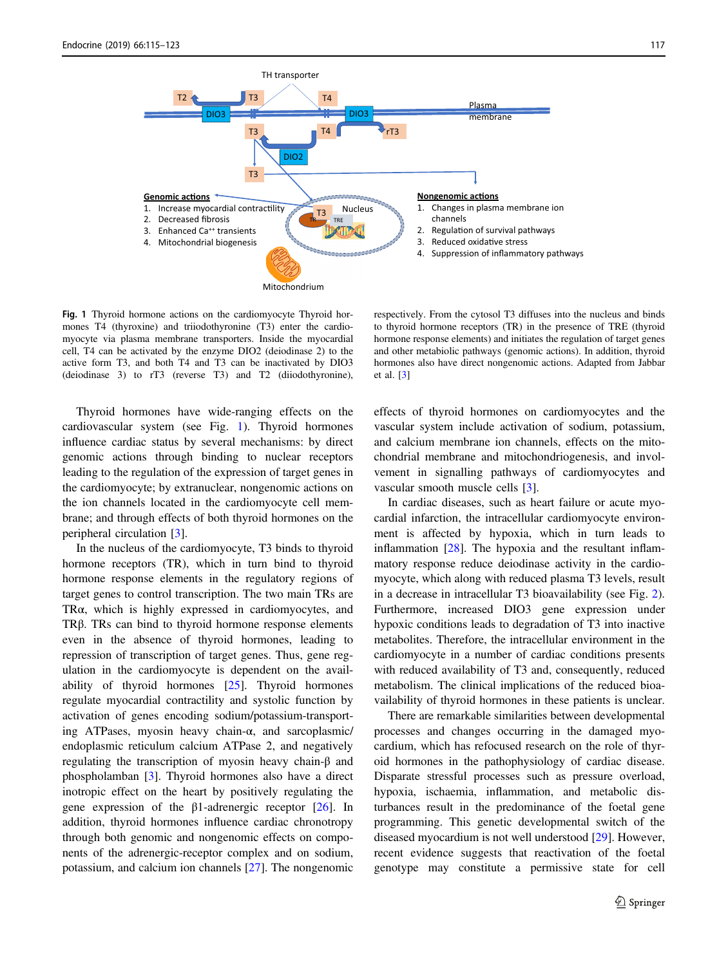

Fig. 1 Thyroid hormone actions on the cardiomyocyte Thyroid hormones T4 (thyroxine) and triiodothyronine (T3) enter the cardiomyocyte via plasma membrane transporters. Inside the myocardial cell, T4 can be activated by the enzyme DIO2 (deiodinase 2) to the active form T3, and both T4 and T3 can be inactivated by DIO3 (deiodinase 3) to rT3 (reverse T3) and T2 (diiodothyronine),

Thyroid hormones have wide-ranging effects on the cardiovascular system (see Fig. 1). Thyroid hormones influence cardiac status by several mechanisms: by direct genomic actions through binding to nuclear receptors leading to the regulation of the expression of target genes in the cardiomyocyte; by extranuclear, nongenomic actions on the ion channels located in the cardiomyocyte cell membrane; and through effects of both thyroid hormones on the peripheral circulation [[3\]](#page-5-0).

In the nucleus of the cardiomyocyte, T3 binds to thyroid hormone receptors (TR), which in turn bind to thyroid hormone response elements in the regulatory regions of target genes to control transcription. The two main TRs are TRα, which is highly expressed in cardiomyocytes, and TRβ. TRs can bind to thyroid hormone response elements even in the absence of thyroid hormones, leading to repression of transcription of target genes. Thus, gene regulation in the cardiomyocyte is dependent on the availability of thyroid hormones [[25\]](#page-6-0). Thyroid hormones regulate myocardial contractility and systolic function by activation of genes encoding sodium/potassium-transporting ATPases, myosin heavy chain-α, and sarcoplasmic/ endoplasmic reticulum calcium ATPase 2, and negatively regulating the transcription of myosin heavy chain-β and phospholamban [\[3](#page-5-0)]. Thyroid hormones also have a direct inotropic effect on the heart by positively regulating the gene expression of the β1-adrenergic receptor  $[26]$  $[26]$ . In addition, thyroid hormones influence cardiac chronotropy through both genomic and nongenomic effects on components of the adrenergic-receptor complex and on sodium, potassium, and calcium ion channels [\[27](#page-6-0)]. The nongenomic

respectively. From the cytosol T3 diffuses into the nucleus and binds to thyroid hormone receptors (TR) in the presence of TRE (thyroid hormone response elements) and initiates the regulation of target genes and other metabiolic pathways (genomic actions). In addition, thyroid hormones also have direct nongenomic actions. Adapted from Jabbar et al. [[3\]](#page-5-0)

effects of thyroid hormones on cardiomyocytes and the vascular system include activation of sodium, potassium, and calcium membrane ion channels, effects on the mitochondrial membrane and mitochondriogenesis, and involvement in signalling pathways of cardiomyocytes and vascular smooth muscle cells [[3\]](#page-5-0).

In cardiac diseases, such as heart failure or acute myocardial infarction, the intracellular cardiomyocyte environment is affected by hypoxia, which in turn leads to inflammation [\[28](#page-6-0)]. The hypoxia and the resultant inflammatory response reduce deiodinase activity in the cardiomyocyte, which along with reduced plasma T3 levels, result in a decrease in intracellular T3 bioavailability (see Fig. [2\)](#page-3-0). Furthermore, increased DIO3 gene expression under hypoxic conditions leads to degradation of T3 into inactive metabolites. Therefore, the intracellular environment in the cardiomyocyte in a number of cardiac conditions presents with reduced availability of T3 and, consequently, reduced metabolism. The clinical implications of the reduced bioavailability of thyroid hormones in these patients is unclear.

There are remarkable similarities between developmental processes and changes occurring in the damaged myocardium, which has refocused research on the role of thyroid hormones in the pathophysiology of cardiac disease. Disparate stressful processes such as pressure overload, hypoxia, ischaemia, inflammation, and metabolic disturbances result in the predominance of the foetal gene programming. This genetic developmental switch of the diseased myocardium is not well understood [\[29](#page-6-0)]. However, recent evidence suggests that reactivation of the foetal genotype may constitute a permissive state for cell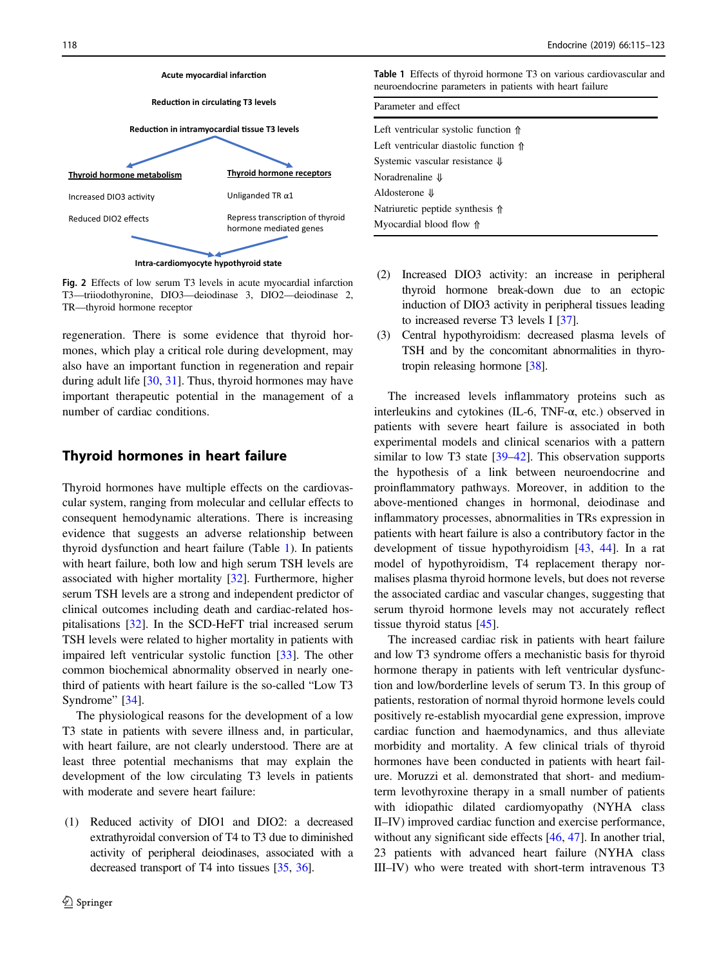<span id="page-3-0"></span>

Fig. 2 Effects of low serum T3 levels in acute myocardial infarction T3—triiodothyronine, DIO3—deiodinase 3, DIO2—deiodinase 2, TR—thyroid hormone receptor

regeneration. There is some evidence that thyroid hormones, which play a critical role during development, may also have an important function in regeneration and repair during adult life [\[30](#page-6-0), [31](#page-6-0)]. Thus, thyroid hormones may have important therapeutic potential in the management of a number of cardiac conditions.

#### Thyroid hormones in heart failure

Thyroid hormones have multiple effects on the cardiovascular system, ranging from molecular and cellular effects to consequent hemodynamic alterations. There is increasing evidence that suggests an adverse relationship between thyroid dysfunction and heart failure (Table 1). In patients with heart failure, both low and high serum TSH levels are associated with higher mortality [[32\]](#page-6-0). Furthermore, higher serum TSH levels are a strong and independent predictor of clinical outcomes including death and cardiac-related hospitalisations [[32\]](#page-6-0). In the SCD-HeFT trial increased serum TSH levels were related to higher mortality in patients with impaired left ventricular systolic function [\[33](#page-6-0)]. The other common biochemical abnormality observed in nearly onethird of patients with heart failure is the so-called "Low T3 Syndrome" [[34\]](#page-6-0).

The physiological reasons for the development of a low T3 state in patients with severe illness and, in particular, with heart failure, are not clearly understood. There are at least three potential mechanisms that may explain the development of the low circulating T3 levels in patients with moderate and severe heart failure:

(1) Reduced activity of DIO1 and DIO2: a decreased extrathyroidal conversion of T4 to T3 due to diminished activity of peripheral deiodinases, associated with a decreased transport of T4 into tissues [[35,](#page-6-0) [36\]](#page-6-0).

Table 1 Effects of thyroid hormone T3 on various cardiovascular and neuroendocrine parameters in patients with heart failure

| Parameter and effect                           |
|------------------------------------------------|
| Left ventricular systolic function $\Uparrow$  |
| Left ventricular diastolic function $\Uparrow$ |
| Systemic vascular resistance $\Downarrow$      |
| Noradrenaline $\Downarrow$                     |
| Aldosterone $\Downarrow$                       |
| Natriuretic peptide synthesis $\uparrow$       |
| Myocardial blood flow $\Uparrow$               |

- (2) Increased DIO3 activity: an increase in peripheral thyroid hormone break-down due to an ectopic induction of DIO3 activity in peripheral tissues leading to increased reverse T3 levels I [[37](#page-6-0)].
- (3) Central hypothyroidism: decreased plasma levels of TSH and by the concomitant abnormalities in thyrotropin releasing hormone [\[38\]](#page-6-0).

The increased levels inflammatory proteins such as interleukins and cytokines (IL-6, TNF-α, etc.) observed in patients with severe heart failure is associated in both experimental models and clinical scenarios with a pattern similar to low T3 state [[39](#page-6-0)–[42\]](#page-7-0). This observation supports the hypothesis of a link between neuroendocrine and proinflammatory pathways. Moreover, in addition to the above-mentioned changes in hormonal, deiodinase and inflammatory processes, abnormalities in TRs expression in patients with heart failure is also a contributory factor in the development of tissue hypothyroidism [[43,](#page-7-0) [44\]](#page-7-0). In a rat model of hypothyroidism, T4 replacement therapy normalises plasma thyroid hormone levels, but does not reverse the associated cardiac and vascular changes, suggesting that serum thyroid hormone levels may not accurately reflect tissue thyroid status [[45\]](#page-7-0).

The increased cardiac risk in patients with heart failure and low T3 syndrome offers a mechanistic basis for thyroid hormone therapy in patients with left ventricular dysfunction and low/borderline levels of serum T3. In this group of patients, restoration of normal thyroid hormone levels could positively re-establish myocardial gene expression, improve cardiac function and haemodynamics, and thus alleviate morbidity and mortality. A few clinical trials of thyroid hormones have been conducted in patients with heart failure. Moruzzi et al. demonstrated that short- and mediumterm levothyroxine therapy in a small number of patients with idiopathic dilated cardiomyopathy (NYHA class II–IV) improved cardiac function and exercise performance, without any significant side effects [[46,](#page-7-0) [47\]](#page-7-0). In another trial, 23 patients with advanced heart failure (NYHA class III–IV) who were treated with short-term intravenous T3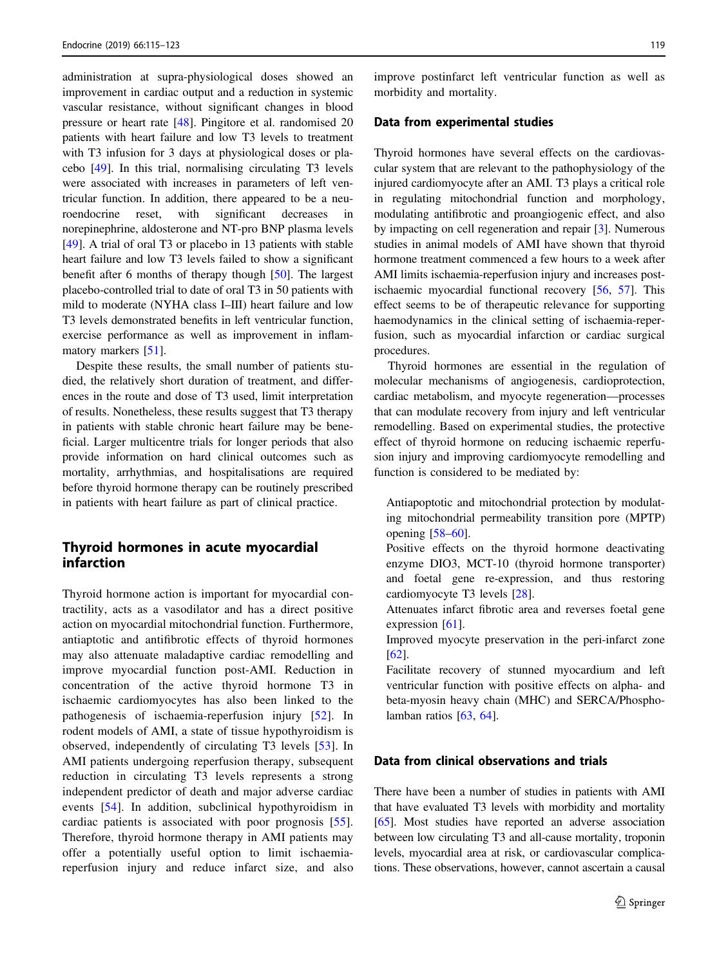administration at supra-physiological doses showed an improvement in cardiac output and a reduction in systemic vascular resistance, without significant changes in blood pressure or heart rate [\[48](#page-7-0)]. Pingitore et al. randomised 20 patients with heart failure and low T3 levels to treatment with T3 infusion for 3 days at physiological doses or placebo [\[49\]](#page-7-0). In this trial, normalising circulating T3 levels were associated with increases in parameters of left ventricular function. In addition, there appeared to be a neuroendocrine reset, with significant decreases in norepinephrine, aldosterone and NT-pro BNP plasma levels [\[49](#page-7-0)]. A trial of oral T3 or placebo in 13 patients with stable heart failure and low T3 levels failed to show a significant benefit after 6 months of therapy though [[50](#page-7-0)]. The largest placebo-controlled trial to date of oral T3 in 50 patients with mild to moderate (NYHA class I–III) heart failure and low T3 levels demonstrated benefits in left ventricular function, exercise performance as well as improvement in inflammatory markers [[51\]](#page-7-0).

Despite these results, the small number of patients studied, the relatively short duration of treatment, and differences in the route and dose of T3 used, limit interpretation of results. Nonetheless, these results suggest that T3 therapy in patients with stable chronic heart failure may be beneficial. Larger multicentre trials for longer periods that also provide information on hard clinical outcomes such as mortality, arrhythmias, and hospitalisations are required before thyroid hormone therapy can be routinely prescribed in patients with heart failure as part of clinical practice.

## Thyroid hormones in acute myocardial infarction

Thyroid hormone action is important for myocardial contractility, acts as a vasodilator and has a direct positive action on myocardial mitochondrial function. Furthermore, antiaptotic and antifibrotic effects of thyroid hormones may also attenuate maladaptive cardiac remodelling and improve myocardial function post-AMI. Reduction in concentration of the active thyroid hormone T3 in ischaemic cardiomyocytes has also been linked to the pathogenesis of ischaemia-reperfusion injury [[52\]](#page-7-0). In rodent models of AMI, a state of tissue hypothyroidism is observed, independently of circulating T3 levels [[53\]](#page-7-0). In AMI patients undergoing reperfusion therapy, subsequent reduction in circulating T3 levels represents a strong independent predictor of death and major adverse cardiac events [[54\]](#page-7-0). In addition, subclinical hypothyroidism in cardiac patients is associated with poor prognosis [\[55](#page-7-0)]. Therefore, thyroid hormone therapy in AMI patients may offer a potentially useful option to limit ischaemiareperfusion injury and reduce infarct size, and also

improve postinfarct left ventricular function as well as morbidity and mortality.

#### Data from experimental studies

Thyroid hormones have several effects on the cardiovascular system that are relevant to the pathophysiology of the injured cardiomyocyte after an AMI. T3 plays a critical role in regulating mitochondrial function and morphology, modulating antifibrotic and proangiogenic effect, and also by impacting on cell regeneration and repair [\[3](#page-5-0)]. Numerous studies in animal models of AMI have shown that thyroid hormone treatment commenced a few hours to a week after AMI limits ischaemia-reperfusion injury and increases postischaemic myocardial functional recovery [\[56](#page-7-0), [57\]](#page-7-0). This effect seems to be of therapeutic relevance for supporting haemodynamics in the clinical setting of ischaemia-reperfusion, such as myocardial infarction or cardiac surgical procedures.

Thyroid hormones are essential in the regulation of molecular mechanisms of angiogenesis, cardioprotection, cardiac metabolism, and myocyte regeneration—processes that can modulate recovery from injury and left ventricular remodelling. Based on experimental studies, the protective effect of thyroid hormone on reducing ischaemic reperfusion injury and improving cardiomyocyte remodelling and function is considered to be mediated by:

Antiapoptotic and mitochondrial protection by modulating mitochondrial permeability transition pore (MPTP) opening [[58](#page-7-0)–[60\]](#page-7-0).

Positive effects on the thyroid hormone deactivating enzyme DIO3, MCT-10 (thyroid hormone transporter) and foetal gene re-expression, and thus restoring cardiomyocyte T3 levels [[28\]](#page-6-0).

Attenuates infarct fibrotic area and reverses foetal gene expression [[61\]](#page-7-0).

Improved myocyte preservation in the peri-infarct zone [\[62](#page-7-0)].

Facilitate recovery of stunned myocardium and left ventricular function with positive effects on alpha- and beta-myosin heavy chain (MHC) and SERCA/Phospholamban ratios [[63,](#page-7-0) [64\]](#page-7-0).

## Data from clinical observations and trials

There have been a number of studies in patients with AMI that have evaluated T3 levels with morbidity and mortality [\[65](#page-7-0)]. Most studies have reported an adverse association between low circulating T3 and all-cause mortality, troponin levels, myocardial area at risk, or cardiovascular complications. These observations, however, cannot ascertain a causal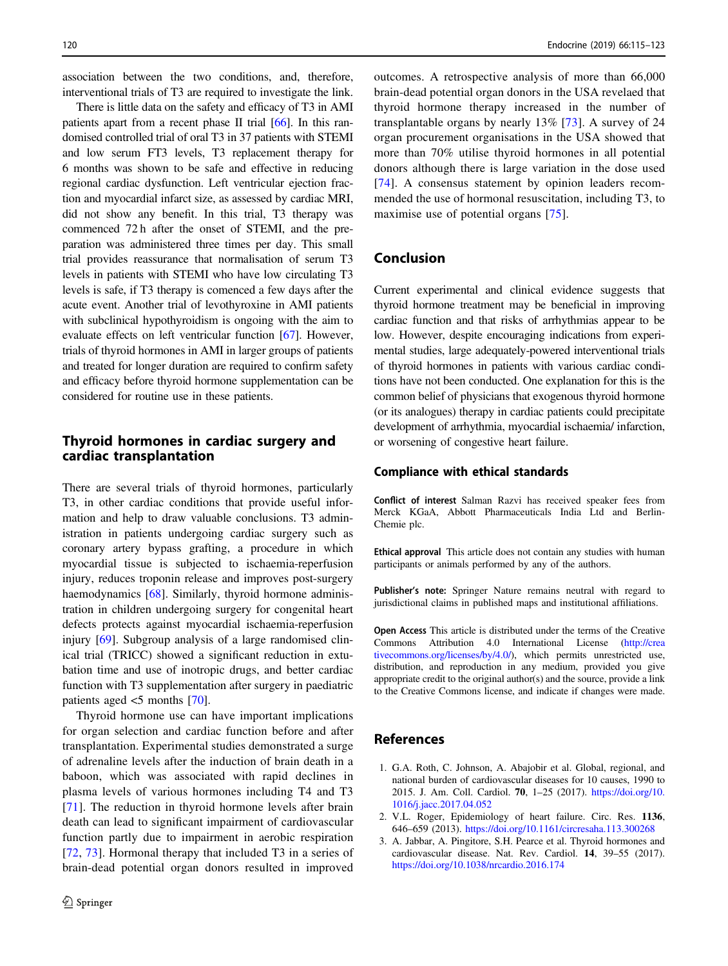<span id="page-5-0"></span>association between the two conditions, and, therefore, interventional trials of T3 are required to investigate the link.

There is little data on the safety and efficacy of T3 in AMI patients apart from a recent phase II trial [[66](#page-7-0)]. In this randomised controlled trial of oral T3 in 37 patients with STEMI and low serum FT3 levels, T3 replacement therapy for 6 months was shown to be safe and effective in reducing regional cardiac dysfunction. Left ventricular ejection fraction and myocardial infarct size, as assessed by cardiac MRI, did not show any benefit. In this trial, T3 therapy was commenced 72 h after the onset of STEMI, and the preparation was administered three times per day. This small trial provides reassurance that normalisation of serum T3 levels in patients with STEMI who have low circulating T3 levels is safe, if T3 therapy is comenced a few days after the acute event. Another trial of levothyroxine in AMI patients with subclinical hypothyroidism is ongoing with the aim to evaluate effects on left ventricular function [[67\]](#page-7-0). However, trials of thyroid hormones in AMI in larger groups of patients and treated for longer duration are required to confirm safety and efficacy before thyroid hormone supplementation can be considered for routine use in these patients.

## Thyroid hormones in cardiac surgery and cardiac transplantation

There are several trials of thyroid hormones, particularly T3, in other cardiac conditions that provide useful information and help to draw valuable conclusions. T3 administration in patients undergoing cardiac surgery such as coronary artery bypass grafting, a procedure in which myocardial tissue is subjected to ischaemia-reperfusion injury, reduces troponin release and improves post-surgery haemodynamics [\[68](#page-7-0)]. Similarly, thyroid hormone administration in children undergoing surgery for congenital heart defects protects against myocardial ischaemia-reperfusion injury [\[69](#page-7-0)]. Subgroup analysis of a large randomised clinical trial (TRICC) showed a significant reduction in extubation time and use of inotropic drugs, and better cardiac function with T3 supplementation after surgery in paediatric patients aged <5 months [[70\]](#page-8-0).

Thyroid hormone use can have important implications for organ selection and cardiac function before and after transplantation. Experimental studies demonstrated a surge of adrenaline levels after the induction of brain death in a baboon, which was associated with rapid declines in plasma levels of various hormones including T4 and T3 [\[71\]](#page-8-0). The reduction in thyroid hormone levels after brain death can lead to significant impairment of cardiovascular function partly due to impairment in aerobic respiration [\[72,](#page-8-0) [73](#page-8-0)]. Hormonal therapy that included T3 in a series of brain-dead potential organ donors resulted in improved

outcomes. A retrospective analysis of more than 66,000 brain-dead potential organ donors in the USA revelaed that thyroid hormone therapy increased in the number of transplantable organs by nearly 13% [[73\]](#page-8-0). A survey of 24 organ procurement organisations in the USA showed that more than 70% utilise thyroid hormones in all potential donors although there is large variation in the dose used [\[74\]](#page-8-0). A consensus statement by opinion leaders recommended the use of hormonal resuscitation, including T3, to maximise use of potential organs [[75\]](#page-8-0).

# Conclusion

Current experimental and clinical evidence suggests that thyroid hormone treatment may be beneficial in improving cardiac function and that risks of arrhythmias appear to be low. However, despite encouraging indications from experimental studies, large adequately-powered interventional trials of thyroid hormones in patients with various cardiac conditions have not been conducted. One explanation for this is the common belief of physicians that exogenous thyroid hormone (or its analogues) therapy in cardiac patients could precipitate development of arrhythmia, myocardial ischaemia/ infarction, or worsening of congestive heart failure.

#### Compliance with ethical standards

Conflict of interest Salman Razvi has received speaker fees from Merck KGaA, Abbott Pharmaceuticals India Ltd and Berlin-Chemie plc.

Ethical approval This article does not contain any studies with human participants or animals performed by any of the authors.

Publisher's note: Springer Nature remains neutral with regard to jurisdictional claims in published maps and institutional affiliations.

Open Access This article is distributed under the terms of the Creative Commons Attribution 4.0 International License ([http://crea](http://creativecommons.org/licenses/by/4.0/) [tivecommons.org/licenses/by/4.0/](http://creativecommons.org/licenses/by/4.0/)), which permits unrestricted use, distribution, and reproduction in any medium, provided you give appropriate credit to the original author(s) and the source, provide a link to the Creative Commons license, and indicate if changes were made.

#### References

- 1. G.A. Roth, C. Johnson, A. Abajobir et al. Global, regional, and national burden of cardiovascular diseases for 10 causes, 1990 to 2015. J. Am. Coll. Cardiol. 70, 1–25 (2017). [https://doi.org/10.](https://doi.org/10.1016/j.jacc.2017.04.052) [1016/j.jacc.2017.04.052](https://doi.org/10.1016/j.jacc.2017.04.052)
- 2. V.L. Roger, Epidemiology of heart failure. Circ. Res. 1136, 646–659 (2013). <https://doi.org/10.1161/circresaha.113.300268>
- 3. A. Jabbar, A. Pingitore, S.H. Pearce et al. Thyroid hormones and cardiovascular disease. Nat. Rev. Cardiol. 14, 39–55 (2017). <https://doi.org/10.1038/nrcardio.2016.174>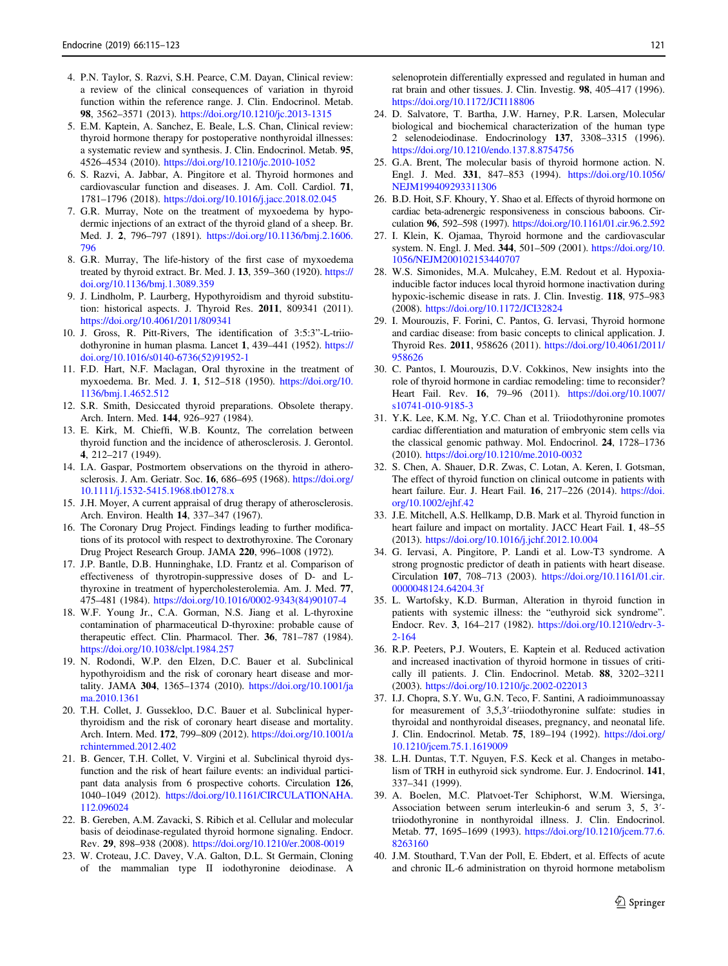- <span id="page-6-0"></span>4. P.N. Taylor, S. Razvi, S.H. Pearce, C.M. Dayan, Clinical review: a review of the clinical consequences of variation in thyroid function within the reference range. J. Clin. Endocrinol. Metab. 98, 3562–3571 (2013). <https://doi.org/10.1210/jc.2013-1315>
- 5. E.M. Kaptein, A. Sanchez, E. Beale, L.S. Chan, Clinical review: thyroid hormone therapy for postoperative nonthyroidal illnesses: a systematic review and synthesis. J. Clin. Endocrinol. Metab. 95, 4526–4534 (2010). <https://doi.org/10.1210/jc.2010-1052>
- 6. S. Razvi, A. Jabbar, A. Pingitore et al. Thyroid hormones and cardiovascular function and diseases. J. Am. Coll. Cardiol. 71, 1781–1796 (2018). <https://doi.org/10.1016/j.jacc.2018.02.045>
- 7. G.R. Murray, Note on the treatment of myxoedema by hypodermic injections of an extract of the thyroid gland of a sheep. Br. Med. J. 2, 796–797 (1891). [https://doi.org/10.1136/bmj.2.1606.](https://doi.org/10.1136/bmj.2.1606.796) [796](https://doi.org/10.1136/bmj.2.1606.796)
- 8. G.R. Murray, The life-history of the first case of myxoedema treated by thyroid extract. Br. Med. J. 13, 359–360 (1920). [https://](https://doi.org/10.1136/bmj.1.3089.359) [doi.org/10.1136/bmj.1.3089.359](https://doi.org/10.1136/bmj.1.3089.359)
- 9. J. Lindholm, P. Laurberg, Hypothyroidism and thyroid substitution: historical aspects. J. Thyroid Res. 2011, 809341 (2011). <https://doi.org/10.4061/2011/809341>
- 10. J. Gross, R. Pitt-Rivers, The identification of 3:5:3"-L-triiodothyronine in human plasma. Lancet 1, 439–441 (1952). [https://](https://doi.org/10.1016/s0140-6736(52)91952-1) [doi.org/10.1016/s0140-6736\(52\)91952-1](https://doi.org/10.1016/s0140-6736(52)91952-1)
- 11. F.D. Hart, N.F. Maclagan, Oral thyroxine in the treatment of myxoedema. Br. Med. J. 1, 512–518 (1950). [https://doi.org/10.](https://doi.org/10.1136/bmj.1.4652.512) [1136/bmj.1.4652.512](https://doi.org/10.1136/bmj.1.4652.512)
- 12. S.R. Smith, Desiccated thyroid preparations. Obsolete therapy. Arch. Intern. Med. 144, 926–927 (1984).
- 13. E. Kirk, M. Chieffi, W.B. Kountz, The correlation between thyroid function and the incidence of atherosclerosis. J. Gerontol. 4, 212–217 (1949).
- 14. I.A. Gaspar, Postmortem observations on the thyroid in atherosclerosis. J. Am. Geriatr. Soc. 16, 686–695 (1968). [https://doi.org/](https://doi.org/10.1111/j.1532-5415.1968.tb01278.x) [10.1111/j.1532-5415.1968.tb01278.x](https://doi.org/10.1111/j.1532-5415.1968.tb01278.x)
- 15. J.H. Moyer, A current appraisal of drug therapy of atherosclerosis. Arch. Environ. Health 14, 337–347 (1967).
- 16. The Coronary Drug Project. Findings leading to further modifications of its protocol with respect to dextrothyroxine. The Coronary Drug Project Research Group. JAMA 220, 996–1008 (1972).
- 17. J.P. Bantle, D.B. Hunninghake, I.D. Frantz et al. Comparison of effectiveness of thyrotropin-suppressive doses of D- and Lthyroxine in treatment of hypercholesterolemia. Am. J. Med. 77, 475–481 (1984). [https://doi.org/10.1016/0002-9343\(84\)90107-4](https://doi.org/10.1016/0002-9343(84)90107-4)
- 18. W.F. Young Jr., C.A. Gorman, N.S. Jiang et al. L-thyroxine contamination of pharmaceutical D-thyroxine: probable cause of therapeutic effect. Clin. Pharmacol. Ther. 36, 781–787 (1984). <https://doi.org/10.1038/clpt.1984.257>
- 19. N. Rodondi, W.P. den Elzen, D.C. Bauer et al. Subclinical hypothyroidism and the risk of coronary heart disease and mortality. JAMA 304, 1365–1374 (2010). [https://doi.org/10.1001/ja](https://doi.org/10.1001/jama.2010.1361) [ma.2010.1361](https://doi.org/10.1001/jama.2010.1361)
- 20. T.H. Collet, J. Gussekloo, D.C. Bauer et al. Subclinical hyperthyroidism and the risk of coronary heart disease and mortality. Arch. Intern. Med. 172, 799–809 (2012). [https://doi.org/10.1001/a](https://doi.org/10.1001/archinternmed.2012.402) [rchinternmed.2012.402](https://doi.org/10.1001/archinternmed.2012.402)
- 21. B. Gencer, T.H. Collet, V. Virgini et al. Subclinical thyroid dysfunction and the risk of heart failure events: an individual participant data analysis from 6 prospective cohorts. Circulation 126, 1040–1049 (2012). [https://doi.org/10.1161/CIRCULATIONAHA.](https://doi.org/10.1161/CIRCULATIONAHA.112.096024) [112.096024](https://doi.org/10.1161/CIRCULATIONAHA.112.096024)
- 22. B. Gereben, A.M. Zavacki, S. Ribich et al. Cellular and molecular basis of deiodinase-regulated thyroid hormone signaling. Endocr. Rev. 29, 898–938 (2008). <https://doi.org/10.1210/er.2008-0019>
- 23. W. Croteau, J.C. Davey, V.A. Galton, D.L. St Germain, Cloning of the mammalian type II iodothyronine deiodinase. A

selenoprotein differentially expressed and regulated in human and rat brain and other tissues. J. Clin. Investig. 98, 405–417 (1996). <https://doi.org/10.1172/JCI118806>

- 24. D. Salvatore, T. Bartha, J.W. Harney, P.R. Larsen, Molecular biological and biochemical characterization of the human type 2 selenodeiodinase. Endocrinology 137, 3308–3315 (1996). <https://doi.org/10.1210/endo.137.8.8754756>
- 25. G.A. Brent, The molecular basis of thyroid hormone action. N. Engl. J. Med. 331, 847–853 (1994). [https://doi.org/10.1056/](https://doi.org/10.1056/NEJM199409293311306) [NEJM199409293311306](https://doi.org/10.1056/NEJM199409293311306)
- 26. B.D. Hoit, S.F. Khoury, Y. Shao et al. Effects of thyroid hormone on cardiac beta-adrenergic responsiveness in conscious baboons. Circulation 96, 592–598 (1997). <https://doi.org/10.1161/01.cir.96.2.592>
- 27. I. Klein, K. Ojamaa, Thyroid hormone and the cardiovascular system. N. Engl. J. Med. 344, 501–509 (2001). [https://doi.org/10.](https://doi.org/10.1056/NEJM200102153440707) [1056/NEJM200102153440707](https://doi.org/10.1056/NEJM200102153440707)
- 28. W.S. Simonides, M.A. Mulcahey, E.M. Redout et al. Hypoxiainducible factor induces local thyroid hormone inactivation during hypoxic-ischemic disease in rats. J. Clin. Investig. 118, 975–983 (2008). <https://doi.org/10.1172/JCI32824>
- 29. I. Mourouzis, F. Forini, C. Pantos, G. Iervasi, Thyroid hormone and cardiac disease: from basic concepts to clinical application. J. Thyroid Res. 2011, 958626 (2011). [https://doi.org/10.4061/2011/](https://doi.org/10.4061/2011/958626) [958626](https://doi.org/10.4061/2011/958626)
- 30. C. Pantos, I. Mourouzis, D.V. Cokkinos, New insights into the role of thyroid hormone in cardiac remodeling: time to reconsider? Heart Fail. Rev. 16, 79–96 (2011). [https://doi.org/10.1007/](https://doi.org/10.1007/s10741-010-9185-3) [s10741-010-9185-3](https://doi.org/10.1007/s10741-010-9185-3)
- 31. Y.K. Lee, K.M. Ng, Y.C. Chan et al. Triiodothyronine promotes cardiac differentiation and maturation of embryonic stem cells via the classical genomic pathway. Mol. Endocrinol. 24, 1728–1736 (2010). <https://doi.org/10.1210/me.2010-0032>
- 32. S. Chen, A. Shauer, D.R. Zwas, C. Lotan, A. Keren, I. Gotsman, The effect of thyroid function on clinical outcome in patients with heart failure. Eur. J. Heart Fail. 16, 217–226 (2014). [https://doi.](https://doi.org/10.1002/ejhf.42) [org/10.1002/ejhf.42](https://doi.org/10.1002/ejhf.42)
- 33. J.E. Mitchell, A.S. Hellkamp, D.B. Mark et al. Thyroid function in heart failure and impact on mortality. JACC Heart Fail. 1, 48–55 (2013). <https://doi.org/10.1016/j.jchf.2012.10.004>
- 34. G. Iervasi, A. Pingitore, P. Landi et al. Low-T3 syndrome. A strong prognostic predictor of death in patients with heart disease. Circulation 107, 708–713 (2003). [https://doi.org/10.1161/01.cir.](https://doi.org/10.1161/01.cir.0000048124.64204.3f) [0000048124.64204.3f](https://doi.org/10.1161/01.cir.0000048124.64204.3f)
- 35. L. Wartofsky, K.D. Burman, Alteration in thyroid function in patients with systemic illness: the "euthyroid sick syndrome". Endocr. Rev. 3, 164–217 (1982). [https://doi.org/10.1210/edrv-3-](https://doi.org/10.1210/edrv-3-2-164) [2-164](https://doi.org/10.1210/edrv-3-2-164)
- 36. R.P. Peeters, P.J. Wouters, E. Kaptein et al. Reduced activation and increased inactivation of thyroid hormone in tissues of critically ill patients. J. Clin. Endocrinol. Metab. 88, 3202–3211 (2003). <https://doi.org/10.1210/jc.2002-022013>
- 37. I.J. Chopra, S.Y. Wu, G.N. Teco, F. Santini, A radioimmunoassay for measurement of 3,5,3′-triiodothyronine sulfate: studies in thyroidal and nonthyroidal diseases, pregnancy, and neonatal life. J. Clin. Endocrinol. Metab. 75, 189–194 (1992). [https://doi.org/](https://doi.org/10.1210/jcem.75.1.1619009) [10.1210/jcem.75.1.1619009](https://doi.org/10.1210/jcem.75.1.1619009)
- 38. L.H. Duntas, T.T. Nguyen, F.S. Keck et al. Changes in metabolism of TRH in euthyroid sick syndrome. Eur. J. Endocrinol. 141, 337–341 (1999).
- 39. A. Boelen, M.C. Platvoet-Ter Schiphorst, W.M. Wiersinga, Association between serum interleukin-6 and serum 3, 5, 3′ triiodothyronine in nonthyroidal illness. J. Clin. Endocrinol. Metab. 77, 1695–1699 (1993). [https://doi.org/10.1210/jcem.77.6.](https://doi.org/10.1210/jcem.77.6.8263160) [8263160](https://doi.org/10.1210/jcem.77.6.8263160)
- 40. J.M. Stouthard, T.Van der Poll, E. Ebdert, et al. Effects of acute and chronic IL-6 administration on thyroid hormone metabolism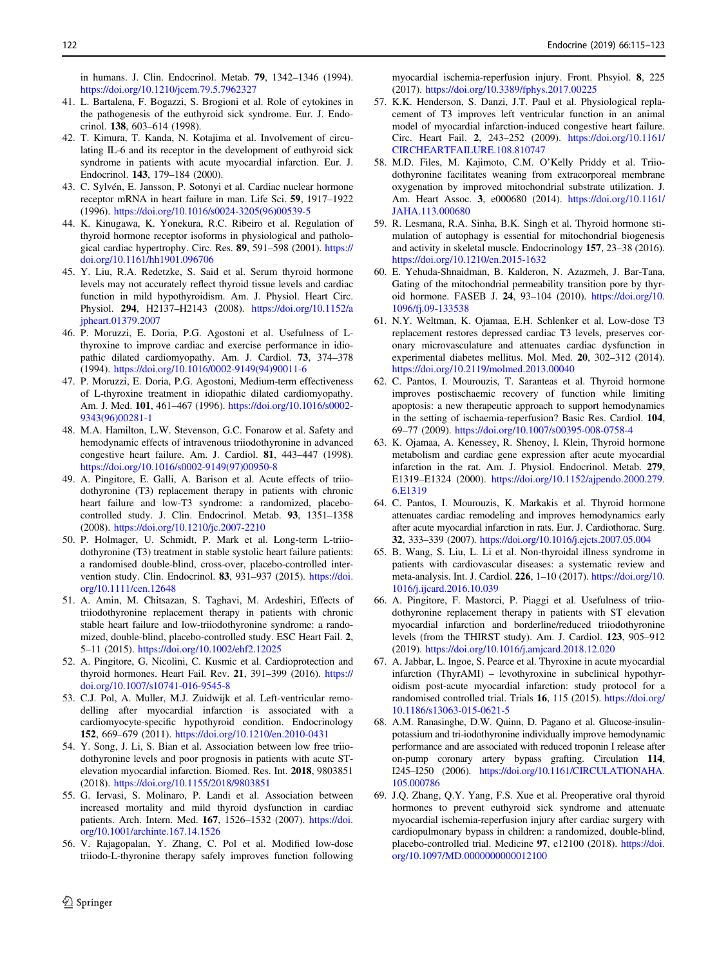<span id="page-7-0"></span>in humans. J. Clin. Endocrinol. Metab. 79, 1342–1346 (1994). <https://doi.org/10.1210/jcem.79.5.7962327>

- 41. L. Bartalena, F. Bogazzi, S. Brogioni et al. Role of cytokines in the pathogenesis of the euthyroid sick syndrome. Eur. J. Endocrinol. 138, 603–614 (1998).
- 42. T. Kimura, T. Kanda, N. Kotajima et al. Involvement of circulating IL-6 and its receptor in the development of euthyroid sick syndrome in patients with acute myocardial infarction. Eur. J. Endocrinol. 143, 179–184 (2000).
- 43. C. Sylvén, E. Jansson, P. Sotonyi et al. Cardiac nuclear hormone receptor mRNA in heart failure in man. Life Sci. 59, 1917–1922 (1996). [https://doi.org/10.1016/s0024-3205\(96\)00539-5](https://doi.org/10.1016/s0024-3205(96)00539-5)
- 44. K. Kinugawa, K. Yonekura, R.C. Ribeiro et al. Regulation of thyroid hormone receptor isoforms in physiological and pathological cardiac hypertrophy. Circ. Res. 89, 591–598 (2001). [https://](https://doi.org/10.1161/hh1901.096706) [doi.org/10.1161/hh1901.096706](https://doi.org/10.1161/hh1901.096706)
- 45. Y. Liu, R.A. Redetzke, S. Said et al. Serum thyroid hormone levels may not accurately reflect thyroid tissue levels and cardiac function in mild hypothyroidism. Am. J. Physiol. Heart Circ. Physiol. 294, H2137–H2143 (2008). [https://doi.org/10.1152/a](https://doi.org/10.1152/ajpheart.01379.2007) [jpheart.01379.2007](https://doi.org/10.1152/ajpheart.01379.2007)
- 46. P. Moruzzi, E. Doria, P.G. Agostoni et al. Usefulness of Lthyroxine to improve cardiac and exercise performance in idiopathic dilated cardiomyopathy. Am. J. Cardiol. 73, 374–378 (1994). [https://doi.org/10.1016/0002-9149\(94\)90011-6](https://doi.org/10.1016/0002-9149(94)90011-6)
- 47. P. Moruzzi, E. Doria, P.G. Agostoni, Medium-term effectiveness of L-thyroxine treatment in idiopathic dilated cardiomyopathy. Am. J. Med. 101, 461–467 (1996). [https://doi.org/10.1016/s0002-](https://doi.org/10.1016/s0002-9343(96)00281-1) [9343\(96\)00281-1](https://doi.org/10.1016/s0002-9343(96)00281-1)
- 48. M.A. Hamilton, L.W. Stevenson, G.C. Fonarow et al. Safety and hemodynamic effects of intravenous triiodothyronine in advanced congestive heart failure. Am. J. Cardiol. 81, 443–447 (1998). [https://doi.org/10.1016/s0002-9149\(97\)00950-8](https://doi.org/10.1016/s0002-9149(97)00950-8)
- 49. A. Pingitore, E. Galli, A. Barison et al. Acute effects of triiodothyronine (T3) replacement therapy in patients with chronic heart failure and low-T3 syndrome: a randomized, placebocontrolled study. J. Clin. Endocrinol. Metab. 93, 1351–1358 (2008). <https://doi.org/10.1210/jc.2007-2210>
- 50. P. Holmager, U. Schmidt, P. Mark et al. Long-term L-triiodothyronine (T3) treatment in stable systolic heart failure patients: a randomised double-blind, cross-over, placebo-controlled intervention study. Clin. Endocrinol. 83, 931–937 (2015). [https://doi.](https://doi.org/10.1111/cen.12648) [org/10.1111/cen.12648](https://doi.org/10.1111/cen.12648)
- 51. A. Amin, M. Chitsazan, S. Taghavi, M. Ardeshiri, Effects of triiodothyronine replacement therapy in patients with chronic stable heart failure and low-triiodothyronine syndrome: a randomized, double-blind, placebo-controlled study. ESC Heart Fail. 2, 5–11 (2015). <https://doi.org/10.1002/ehf2.12025>
- 52. A. Pingitore, G. Nicolini, C. Kusmic et al. Cardioprotection and thyroid hormones. Heart Fail. Rev. 21, 391–399 (2016). [https://](https://doi.org/10.1007/s10741-016-9545-8) [doi.org/10.1007/s10741-016-9545-8](https://doi.org/10.1007/s10741-016-9545-8)
- 53. C.J. Pol, A. Muller, M.J. Zuidwijk et al. Left-ventricular remodelling after myocardial infarction is associated with a cardiomyocyte-specific hypothyroid condition. Endocrinology 152, 669–679 (2011). <https://doi.org/10.1210/en.2010-0431>
- 54. Y. Song, J. Li, S. Bian et al. Association between low free triiodothyronine levels and poor prognosis in patients with acute STelevation myocardial infarction. Biomed. Res. Int. 2018, 9803851 (2018). <https://doi.org/10.1155/2018/9803851>
- 55. G. Iervasi, S. Molinaro, P. Landi et al. Association between increased mortality and mild thyroid dysfunction in cardiac patients. Arch. Intern. Med. 167, 1526–1532 (2007). [https://doi.](https://doi.org/10.1001/archinte.167.14.1526) [org/10.1001/archinte.167.14.1526](https://doi.org/10.1001/archinte.167.14.1526)
- 56. V. Rajagopalan, Y. Zhang, C. Pol et al. Modified low-dose triiodo-L-thyronine therapy safely improves function following

myocardial ischemia-reperfusion injury. Front. Phsyiol. 8, 225 (2017). <https://doi.org/10.3389/fphys.2017.00225>

- 57. K.K. Henderson, S. Danzi, J.T. Paul et al. Physiological replacement of T3 improves left ventricular function in an animal model of myocardial infarction-induced congestive heart failure. Circ. Heart Fail. 2, 243–252 (2009). [https://doi.org/10.1161/](https://doi.org/10.1161/CIRCHEARTFAILURE.108.810747) [CIRCHEARTFAILURE.108.810747](https://doi.org/10.1161/CIRCHEARTFAILURE.108.810747)
- 58. M.D. Files, M. Kajimoto, C.M. O'Kelly Priddy et al. Triiodothyronine facilitates weaning from extracorporeal membrane oxygenation by improved mitochondrial substrate utilization. J. Am. Heart Assoc. 3, e000680 (2014). [https://doi.org/10.1161/](https://doi.org/10.1161/JAHA.113.000680) [JAHA.113.000680](https://doi.org/10.1161/JAHA.113.000680)
- 59. R. Lesmana, R.A. Sinha, B.K. Singh et al. Thyroid hormone stimulation of autophagy is essential for mitochondrial biogenesis and activity in skeletal muscle. Endocrinology 157, 23–38 (2016). <https://doi.org/10.1210/en.2015-1632>
- 60. E. Yehuda-Shnaidman, B. Kalderon, N. Azazmeh, J. Bar-Tana, Gating of the mitochondrial permeability transition pore by thyroid hormone. FASEB J. 24, 93–104 (2010). [https://doi.org/10.](https://doi.org/10.1096/fj.09-133538) [1096/fj.09-133538](https://doi.org/10.1096/fj.09-133538)
- 61. N.Y. Weltman, K. Ojamaa, E.H. Schlenker et al. Low-dose T3 replacement restores depressed cardiac T3 levels, preserves coronary microvasculature and attenuates cardiac dysfunction in experimental diabetes mellitus. Mol. Med. 20, 302–312 (2014). <https://doi.org/10.2119/molmed.2013.00040>
- 62. C. Pantos, I. Mourouzis, T. Saranteas et al. Thyroid hormone improves postischaemic recovery of function while limiting apoptosis: a new therapeutic approach to support hemodynamics in the setting of ischaemia-reperfusion? Basic Res. Cardiol. 104, 69–77 (2009). <https://doi.org/10.1007/s00395-008-0758-4>
- 63. K. Ojamaa, A. Kenessey, R. Shenoy, I. Klein, Thyroid hormone metabolism and cardiac gene expression after acute myocardial infarction in the rat. Am. J. Physiol. Endocrinol. Metab. 279, E1319–E1324 (2000). [https://doi.org/10.1152/ajpendo.2000.279.](https://doi.org/10.1152/ajpendo.2000.279.6.E1319) [6.E1319](https://doi.org/10.1152/ajpendo.2000.279.6.E1319)
- 64. C. Pantos, I. Mourouzis, K. Markakis et al. Thyroid hormone attenuates cardiac remodeling and improves hemodynamics early after acute myocardial infarction in rats. Eur. J. Cardiothorac. Surg. 32, 333–339 (2007). <https://doi.org/10.1016/j.ejcts.2007.05.004>
- 65. B. Wang, S. Liu, L. Li et al. Non-thyroidal illness syndrome in patients with cardiovascular diseases: a systematic review and meta-analysis. Int. J. Cardiol. 226, 1–10 (2017). [https://doi.org/10.](https://doi.org/10.1016/j.ijcard.2016.10.039) [1016/j.ijcard.2016.10.039](https://doi.org/10.1016/j.ijcard.2016.10.039)
- 66. A. Pingitore, F. Mastorci, P. Piaggi et al. Usefulness of triiodothyronine replacement therapy in patients with ST elevation myocardial infarction and borderline/reduced triiodothyronine levels (from the THIRST study). Am. J. Cardiol. 123, 905–912 (2019). <https://doi.org/10.1016/j.amjcard.2018.12.020>
- 67. A. Jabbar, L. Ingoe, S. Pearce et al. Thyroxine in acute myocardial infarction (ThyrAMI) – levothyroxine in subclinical hypothyroidism post-acute myocardial infarction: study protocol for a randomised controlled trial. Trials 16, 115 (2015). [https://doi.org/](https://doi.org/10.1186/s13063-015-0621-5) [10.1186/s13063-015-0621-5](https://doi.org/10.1186/s13063-015-0621-5)
- 68. A.M. Ranasinghe, D.W. Quinn, D. Pagano et al. Glucose-insulinpotassium and tri-iodothyronine individually improve hemodynamic performance and are associated with reduced troponin I release after on-pump coronary artery bypass grafting. Circulation 114, I245–I250 (2006). [https://doi.org/10.1161/CIRCULATIONAHA.](https://doi.org/10.1161/CIRCULATIONAHA.105.000786) [105.000786](https://doi.org/10.1161/CIRCULATIONAHA.105.000786)
- 69. J.Q. Zhang, Q.Y. Yang, F.S. Xue et al. Preoperative oral thyroid hormones to prevent euthyroid sick syndrome and attenuate myocardial ischemia-reperfusion injury after cardiac surgery with cardiopulmonary bypass in children: a randomized, double-blind, placebo-controlled trial. Medicine 97, e12100 (2018). [https://doi.](https://doi.org/10.1097/MD.0000000000012100) [org/10.1097/MD.0000000000012100](https://doi.org/10.1097/MD.0000000000012100)